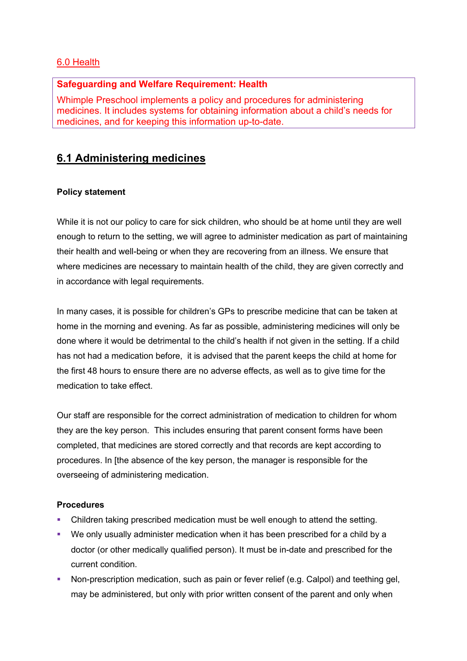## 6.0 Health

## **Safeguarding and Welfare Requirement: Health**

Whimple Preschool implements a policy and procedures for administering medicines. It includes systems for obtaining information about a child's needs for medicines, and for keeping this information up-to-date.

# **6.1 Administering medicines**

## **Policy statement**

While it is not our policy to care for sick children, who should be at home until they are well enough to return to the setting, we will agree to administer medication as part of maintaining their health and well-being or when they are recovering from an illness. We ensure that where medicines are necessary to maintain health of the child, they are given correctly and in accordance with legal requirements.

In many cases, it is possible for children's GPs to prescribe medicine that can be taken at home in the morning and evening. As far as possible, administering medicines will only be done where it would be detrimental to the child's health if not given in the setting. If a child has not had a medication before, it is advised that the parent keeps the child at home for the first 48 hours to ensure there are no adverse effects, as well as to give time for the medication to take effect.

Our staff are responsible for the correct administration of medication to children for whom they are the key person. This includes ensuring that parent consent forms have been completed, that medicines are stored correctly and that records are kept according to procedures. In [the absence of the key person, the manager is responsible for the overseeing of administering medication.

## **Procedures**

- Children taking prescribed medication must be well enough to attend the setting.
- We only usually administer medication when it has been prescribed for a child by a doctor (or other medically qualified person). It must be in-date and prescribed for the current condition.
- Non-prescription medication, such as pain or fever relief (e.g. Calpol) and teething gel, may be administered, but only with prior written consent of the parent and only when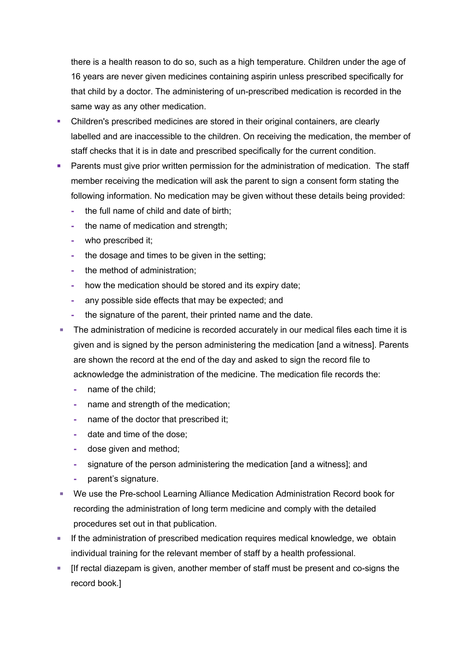there is a health reason to do so, such as a high temperature. Children under the age of 16 years are never given medicines containing aspirin unless prescribed specifically for that child by a doctor. The administering of un-prescribed medication is recorded in the same way as any other medication.

- Children's prescribed medicines are stored in their original containers, are clearly labelled and are inaccessible to the children. On receiving the medication, the member of staff checks that it is in date and prescribed specifically for the current condition.
- **Parents must give prior written permission for the administration of medication. The staff** member receiving the medication will ask the parent to sign a consent form stating the following information. No medication may be given without these details being provided:
	- **-** the full name of child and date of birth;
	- **-** the name of medication and strength;
	- **-** who prescribed it;
	- **-** the dosage and times to be given in the setting;
	- **-** the method of administration;
	- **-** how the medication should be stored and its expiry date;
	- **-** any possible side effects that may be expected; and
	- **-** the signature of the parent, their printed name and the date.
- The administration of medicine is recorded accurately in our medical files each time it is given and is signed by the person administering the medication [and a witness]. Parents are shown the record at the end of the day and asked to sign the record file to acknowledge the administration of the medicine. The medication file records the:
	- **-** name of the child;
	- **-** name and strength of the medication;
	- **-** name of the doctor that prescribed it;
	- **-** date and time of the dose;
	- **-** dose given and method;
	- **-** signature of the person administering the medication [and a witness]; and
	- **-** parent's signature.
- We use the Pre-school Learning Alliance Medication Administration Record book for recording the administration of long term medicine and comply with the detailed procedures set out in that publication.
- **■** If the administration of prescribed medication requires medical knowledge, we obtain individual training for the relevant member of staff by a health professional.
- [If rectal diazepam is given, another member of staff must be present and co-signs the record book.]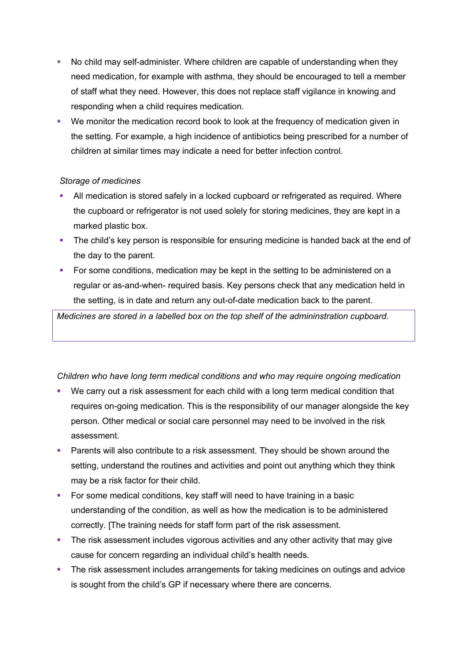- No child may self-administer. Where children are capable of understanding when they need medication, for example with asthma, they should be encouraged to tell a member of staff what they need. However, this does not replace staff vigilance in knowing and responding when a child requires medication.
- We monitor the medication record book to look at the frequency of medication given in the setting. For example, a high incidence of antibiotics being prescribed for a number of children at similar times may indicate a need for better infection control.

### *Storage of medicines*

- All medication is stored safely in a locked cupboard or refrigerated as required. Where the cupboard or refrigerator is not used solely for storing medicines, they are kept in a marked plastic box.
- The child's key person is responsible for ensuring medicine is handed back at the end of the day to the parent.
- **•** For some conditions, medication may be kept in the setting to be administered on a regular or as-and-when- required basis. Key persons check that any medication held in the setting, is in date and return any out-of-date medication back to the parent.

*Medicines are stored in a labelled box on the top shelf of the admininstration cupboard.* 

### *Children who have long term medical conditions and who may require ongoing medication*

- We carry out a risk assessment for each child with a long term medical condition that requires on-going medication. This is the responsibility of our manager alongside the key person. Other medical or social care personnel may need to be involved in the risk assessment.
- Parents will also contribute to a risk assessment. They should be shown around the setting, understand the routines and activities and point out anything which they think may be a risk factor for their child.
- For some medical conditions, key staff will need to have training in a basic understanding of the condition, as well as how the medication is to be administered correctly. [The training needs for staff form part of the risk assessment.
- The risk assessment includes vigorous activities and any other activity that may give cause for concern regarding an individual child's health needs.
- **•** The risk assessment includes arrangements for taking medicines on outings and advice is sought from the child's GP if necessary where there are concerns.